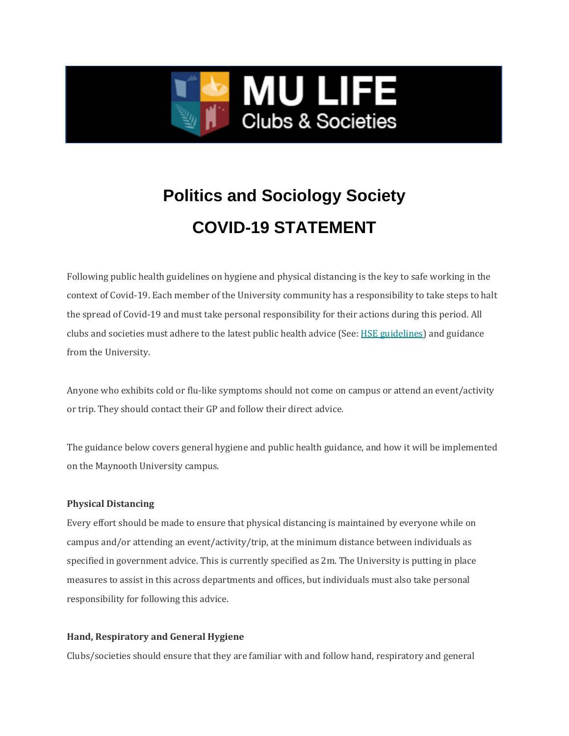

## **Politics and Sociology Society COVID-19 STATEMENT**

Following public health guidelines on hygiene and physical distancing is the key to safe working in the context of Covid-19. Each member of the University community has a responsibility to take steps to halt the spread of Covid-19 and must take personal responsibility for their actions during this period. All clubs and societies must adhere to the latest public health advice (See: [HSE guidelines\)](https://www2.hse.ie/coronavirus/) and guidance from the University.

Anyone who exhibits cold or flu-like symptoms should not come on campus or attend an event/activity or trip. They should contact their GP and follow their direct advice.

The guidance below covers general hygiene and public health guidance, and how it will be implemented on the Maynooth University campus.

## **Physical Distancing**

Every effort should be made to ensure that physical distancing is maintained by everyone while on campus and/or attending an event/activity/trip, at the minimum distance between individuals as specified in government advice. This is currently specified as 2m. The University is putting in place measures to assist in this across departments and offices, but individuals must also take personal responsibility for following this advice.

## **Hand, Respiratory and General Hygiene**

Clubs/societies should ensure that they are familiar with and follow hand, respiratory and general